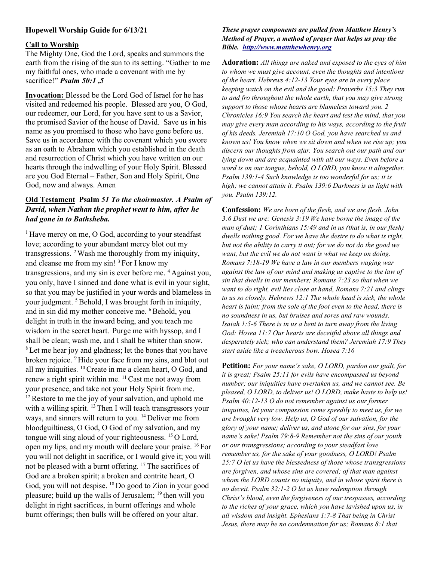## Hopewell Worship Guide for 6/13/21

## Call to Worship

The Mighty One, God the Lord, speaks and summons the earth from the rising of the sun to its setting. "Gather to me my faithful ones, who made a covenant with me by sacrifice!" Psalm 50:1,5

Invocation: Blessed be the Lord God of Israel for he has visited and redeemed his people. Blessed are you, O God, our redeemer, our Lord, for you have sent to us a Savior, the promised Savior of the house of David. Save us in his name as you promised to those who have gone before us. Save us in accordance with the covenant which you swore as an oath to Abraham which you established in the death and resurrection of Christ which you have written on our hearts through the indwelling of your Holy Spirit. Blessed are you God Eternal – Father, Son and Holy Spirit, One God, now and always. Amen

# Old Testament Psalm 51 To the choirmaster. A Psalm of David, when Nathan the prophet went to him, after he had gone in to Bathsheba.

 $1$  Have mercy on me, O God, according to your steadfast love; according to your abundant mercy blot out my transgressions. <sup>2</sup>Wash me thoroughly from my iniquity, and cleanse me from my sin!  $3$  For I know my transgressions, and my sin is ever before me. <sup>4</sup> Against you, you only, have I sinned and done what is evil in your sight, so that you may be justified in your words and blameless in your judgment. <sup>5</sup> Behold, I was brought forth in iniquity, and in sin did my mother conceive me. <sup>6</sup>Behold, you delight in truth in the inward being, and you teach me wisdom in the secret heart. Purge me with hyssop, and I shall be clean; wash me, and I shall be whiter than snow. <sup>8</sup> Let me hear joy and gladness; let the bones that you have broken rejoice. <sup>9</sup>Hide your face from my sins, and blot out all my iniquities. <sup>10</sup>Create in me a clean heart, O God, and renew a right spirit within me. <sup>11</sup> Cast me not away from your presence, and take not your Holy Spirit from me.  $12$  Restore to me the joy of your salvation, and uphold me with a willing spirit.  $^{13}$  Then I will teach transgressors your ways, and sinners will return to you. <sup>14</sup> Deliver me from bloodguiltiness, O God, O God of my salvation, and my tongue will sing aloud of your righteousness.  $^{15}$  O Lord, open my lips, and my mouth will declare your praise. <sup>16</sup> For you will not delight in sacrifice, or I would give it; you will not be pleased with a burnt offering. <sup>17</sup>The sacrifices of God are a broken spirit; a broken and contrite heart, O God, you will not despise. <sup>18</sup> Do good to Zion in your good pleasure; build up the walls of Jerusalem;  $19$  then will you delight in right sacrifices, in burnt offerings and whole burnt offerings; then bulls will be offered on your altar.

### These prayer components are pulled from Matthew Henry's Method of Prayer, a method of prayer that helps us pray the Bible. http://www.mattthewhenry.org

Adoration: All things are naked and exposed to the eyes of him to whom we must give account, even the thoughts and intentions of the heart. Hebrews 4:12-13 Your eyes are in every place keeping watch on the evil and the good: Proverbs 15:3 They run to and fro throughout the whole earth, that you may give strong support to those whose hearts are blameless toward you. 2 Chronicles 16:9 You search the heart and test the mind, that you may give every man according to his ways, according to the fruit of his deeds. Jeremiah 17:10 O God, you have searched us and known us! You know when we sit down and when we rise up; you discern our thoughts from afar. You search out our path and our lying down and are acquainted with all our ways. Even before a word is on our tongue, behold, O LORD, you know it altogether. Psalm 139:1-4 Such knowledge is too wonderful for us; it is high; we cannot attain it. Psalm 139:6 Darkness is as light with you. Psalm 139:12.

Confession: We are born of the flesh, and we are flesh. John 3:6 Dust we are: Genesis 3:19 We have borne the image of the man of dust; 1 Corinthians 15:49 and in us (that is, in our flesh) dwells nothing good. For we have the desire to do what is right, but not the ability to carry it out; for we do not do the good we want, but the evil we do not want is what we keep on doing. Romans 7:18-19 We have a law in our members waging war against the law of our mind and making us captive to the law of sin that dwells in our members; Romans 7:23 so that when we want to do right, evil lies close at hand, Romans 7:21 and clings to us so closely. Hebrews 12:1 The whole head is sick, the whole heart is faint; from the sole of the foot even to the head, there is no soundness in us, but bruises and sores and raw wounds. Isaiah 1:5-6 There is in us a bent to turn away from the living God: Hosea 11:7 Our hearts are deceitful above all things and desperately sick; who can understand them? Jeremiah 17:9 They start aside like a treacherous bow. Hosea 7:16

Petition: For your name's sake, O LORD, pardon our guilt, for it is great; Psalm 25:11 for evils have encompassed us beyond number; our iniquities have overtaken us, and we cannot see. Be pleased, O LORD, to deliver us! O LORD, make haste to help us! Psalm 40:12-13 O do not remember against us our former iniquities, let your compassion come speedily to meet us, for we are brought very low. Help us, O God of our salvation, for the glory of your name; deliver us, and atone for our sins, for your name's sake! Psalm 79:8-9 Remember not the sins of our youth or our transgressions; according to your steadfast love remember us, for the sake of your goodness, O LORD! Psalm 25:7 O let us have the blessedness of those whose transgressions are forgiven, and whose sins are covered; of that man against whom the LORD counts no iniquity, and in whose spirit there is no deceit. Psalm 32:1-2 O let us have redemption through Christ's blood, even the forgiveness of our trespasses, according to the riches of your grace, which you have lavished upon us, in all wisdom and insight. Ephesians 1:7-8 That being in Christ Jesus, there may be no condemnation for us; Romans 8:1 that